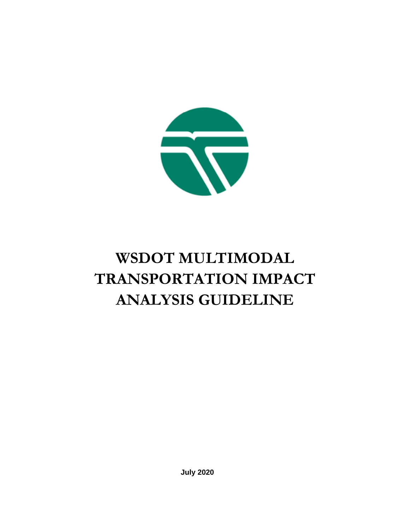

# **WSDOT MULTIMODAL TRANSPORTATION IMPACT ANALYSIS GUIDELINE**

**July 2020**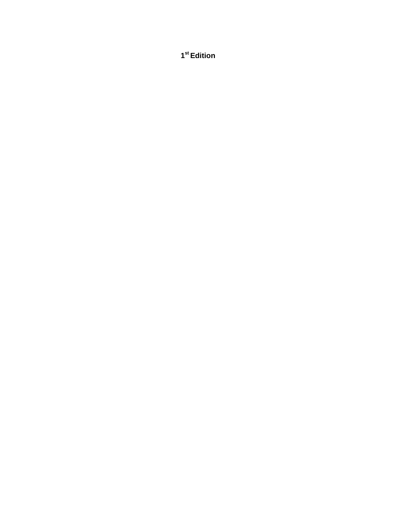**st Edition**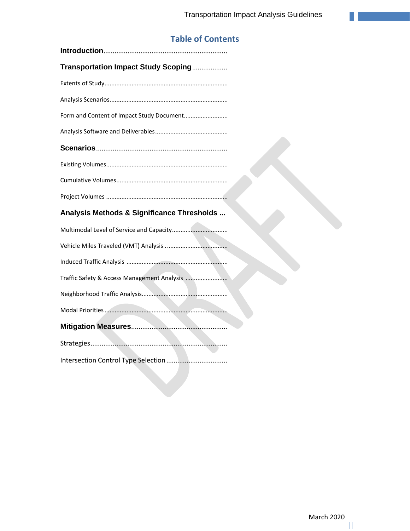## **Table of Contents**

| Transportation Impact Study Scoping         |
|---------------------------------------------|
|                                             |
|                                             |
| Form and Content of Impact Study Document   |
|                                             |
|                                             |
|                                             |
|                                             |
|                                             |
| Analysis Methods & Significance Thresholds  |
|                                             |
|                                             |
|                                             |
| Traffic Safety & Access Management Analysis |
|                                             |
|                                             |
|                                             |
|                                             |
|                                             |

[Intersection Control](#page-11-4) Type Selection[.................................](#page-11-4)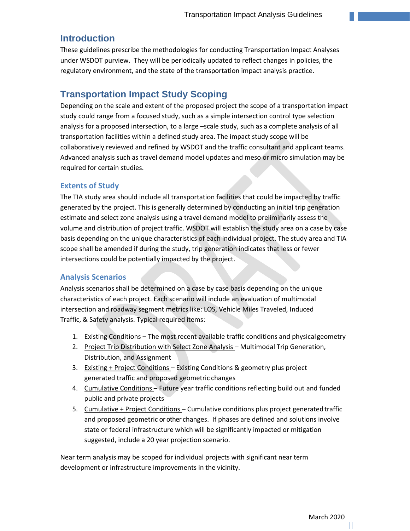## <span id="page-3-0"></span>**Introduction**

These guidelines prescribe the methodologies for conducting Transportation Impact Analyses under WSDOT purview. They will be periodically updated to reflect changes in policies, the regulatory environment, and the state of the transportation impact analysis practice.

## <span id="page-3-1"></span>**Transportation Impact Study Scoping**

Depending on the scale and extent of the proposed project the scope of a transportation impact study could range from a focused study, such as a simple intersection control type selection analysis for a proposed intersection, to a large –scale study, such as a complete analysis of all transportation facilities within a defined study area. The impact study scope will be collaboratively reviewed and refined by WSDOT and the traffic consultant and applicant teams. Advanced analysis such as travel demand model updates and meso or micro simulation may be required for certain studies.

#### <span id="page-3-2"></span>**Extents of Study**

The TIA study area should include all transportation facilities that could be impacted by traffic generated by the project. This is generally determined by conducting an initial trip generation estimate and select zone analysis using a travel demand model to preliminarily assess the volume and distribution of project traffic. WSDOT will establish the study area on a case by case basis depending on the unique characteristics of each individual project. The study area and TIA scope shall be amended if during the study, trip generation indicates that less or fewer intersections could be potentially impacted by the project.

#### <span id="page-3-3"></span>**Analysis Scenarios**

Analysis scenarios shall be determined on a case by case basis depending on the unique characteristics of each project. Each scenario will include an evaluation of multimodal intersection and roadway segment metrics like: LOS, Vehicle Miles Traveled, Induced Traffic, & Safety analysis. Typical required items:

- 1. Existing Conditions The most recent available traffic conditions and physicalgeometry
- 2. Project Trip Distribution with Select Zone Analysis Multimodal Trip Generation, Distribution, and Assignment
- 3. Existing + Project Conditions Existing Conditions & geometry plus project generated traffic and proposed geometric changes
- 4. Cumulative Conditions Future year traffic conditions reflecting build out and funded public and private projects
- 5. Cumulative + Project Conditions Cumulative conditions plus project generated traffic and proposed geometric or other changes. If phases are defined and solutions involve state or federal infrastructure which will be significantly impacted or mitigation suggested, include a 20 year projection scenario.

Near term analysis may be scoped for individual projects with significant near term development or infrastructure improvements in the vicinity.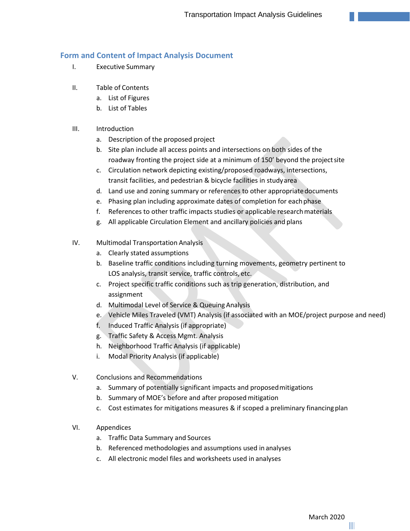#### <span id="page-4-0"></span>**Form and Content of Impact Analysis Document**

- I. Executive Summary
- II. Table of Contents
	- a. List of Figures
	- b. List of Tables

#### III. Introduction

- a. Description of the proposed project
- b. Site plan include all access points and intersections on both sides of the roadway fronting the project side at a minimum of 150' beyond the projectsite
- c. Circulation network depicting existing/proposed roadways, intersections, transit facilities, and pedestrian & bicycle facilities in studyarea
- d. Land use and zoning summary or references to other appropriatedocuments
- e. Phasing plan including approximate dates of completion for eachphase
- f. References to other traffic impacts studies or applicable researchmaterials
- g. All applicable Circulation Element and ancillary policies and plans
- IV. Multimodal Transportation Analysis
	- a. Clearly stated assumptions
	- b. Baseline traffic conditions including turning movements, geometry pertinent to LOS analysis, transit service, traffic controls, etc.
	- c. Project specific traffic conditions such as trip generation, distribution, and assignment
	- d. Multimodal Level of Service & Queuing Analysis
	- e. Vehicle Miles Traveled (VMT) Analysis (if associated with an MOE/project purpose and need)
	- f. Induced Traffic Analysis (if appropriate)
	- g. Traffic Safety & Access Mgmt. Analysis
	- h. Neighborhood Traffic Analysis (if applicable)
	- i. Modal Priority Analysis (if applicable)
- V. Conclusions and Recommendations
	- a. Summary of potentially significant impacts and proposedmitigations
	- b. Summary of MOE's before and after proposed mitigation
	- c. Cost estimates for mitigations measures & if scoped a preliminary financingplan
- VI. Appendices
	- a. Traffic Data Summary and Sources
	- b. Referenced methodologies and assumptions used in analyses
	- c. All electronic model files and worksheets used in analyses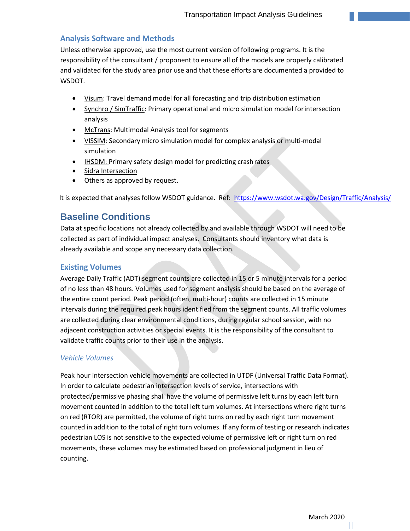#### <span id="page-5-0"></span>**Analysis Software and Methods**

Unless otherwise approved, use the most current version of following programs. It is the responsibility of the consultant / proponent to ensure all of the models are properly calibrated and validated for the study area prior use and that these efforts are documented a provided to WSDOT.

- Visum: Travel demand model for all forecasting and trip distribution estimation
- Synchro / SimTraffic: Primary operational and micro simulation model forintersection analysis
- McTrans: Multimodal Analysis tool forsegments
- VISSIM: Secondary micro simulation model for complex analysis or multi‐modal simulation
- IHSDM: Primary safety design model for predicting crash rates
- Sidra Intersection
- Others as approved by request.

It is expected that analyses follow WSDOT guidance. Ref:<https://www.wsdot.wa.gov/Design/Traffic/Analysis/>

## <span id="page-5-1"></span>**Baseline Conditions**

Data at specific locations not already collected by and available through WSDOT will need to be collected as part of individual impact analyses. Consultants should inventory what data is already available and scope any necessary data collection.

#### <span id="page-5-2"></span>**Existing Volumes**

Average Daily Traffic (ADT) segment counts are collected in 15 or 5 minute intervals for a period of no less than 48 hours. Volumes used for segment analysis should be based on the average of the entire count period. Peak period (often, multi-hour) counts are collected in 15 minute intervals during the required peak hours identified from the segment counts. All traffic volumes are collected during clear environmental conditions, during regular school session, with no adjacent construction activities or special events. It is the responsibility of the consultant to validate traffic counts prior to their use in the analysis.

#### *Vehicle Volumes*

Peak hour intersection vehicle movements are collected in UTDF (Universal Traffic Data Format). In order to calculate pedestrian intersection levels of service, intersections with protected/permissive phasing shall have the volume of permissive left turns by each left turn movement counted in addition to the total left turn volumes. At intersections where right turns on red (RTOR) are permitted, the volume of right turns on red by each right turn movement counted in addition to the total of right turn volumes. If any form of testing or research indicates pedestrian LOS is not sensitive to the expected volume of permissive left or right turn on red movements, these volumes may be estimated based on professional judgment in lieu of counting.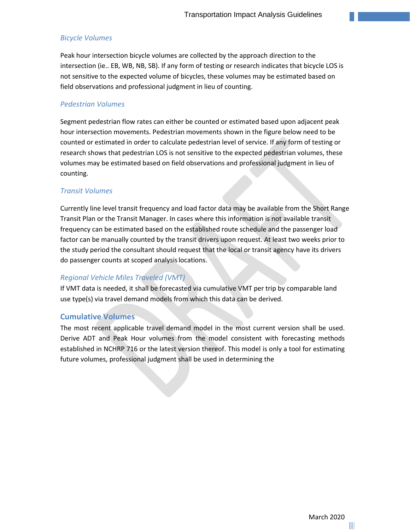#### *Bicycle Volumes*

Peak hour intersection bicycle volumes are collected by the approach direction to the intersection (ie.. EB, WB, NB, SB). If any form of testing or research indicates that bicycle LOS is not sensitive to the expected volume of bicycles, these volumes may be estimated based on field observations and professional judgment in lieu of counting.

#### *Pedestrian Volumes*

Segment pedestrian flow rates can either be counted or estimated based upon adjacent peak hour intersection movements. Pedestrian movements shown in the figure below need to be counted or estimated in order to calculate pedestrian level of service. If any form of testing or research shows that pedestrian LOS is not sensitive to the expected pedestrian volumes, these volumes may be estimated based on field observations and professional judgment in lieu of counting.

#### *Transit Volumes*

Currently line level transit frequency and load factor data may be available from the Short Range Transit Plan or the Transit Manager. In cases where this information is not available transit frequency can be estimated based on the established route schedule and the passenger load factor can be manually counted by the transit drivers upon request. At least two weeks prior to the study period the consultant should request that the local or transit agency have its drivers do passenger counts at scoped analysislocations.

#### *Regional Vehicle Miles Traveled (VMT)*

If VMT data is needed, it shall be forecasted via cumulative VMT per trip by comparable land use type(s) via travel demand models from which this data can be derived.

#### <span id="page-6-0"></span>**Cumulative Volumes**

The most recent applicable travel demand model in the most current version shall be used. Derive ADT and Peak Hour volumes from the model consistent with forecasting methods established in NCHRP 716 or the latest version thereof. This model is only a tool for estimating future volumes, professional judgment shall be used in determining the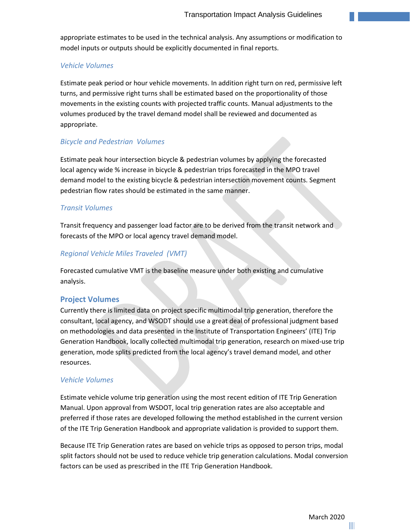appropriate estimates to be used in the technical analysis. Any assumptions or modification to model inputs or outputs should be explicitly documented in final reports.

#### *Vehicle Volumes*

Estimate peak period or hour vehicle movements. In addition right turn on red, permissive left turns, and permissive right turns shall be estimated based on the proportionality of those movements in the existing counts with projected traffic counts. Manual adjustments to the volumes produced by the travel demand model shall be reviewed and documented as appropriate.

#### *Bicycle and Pedestrian Volumes*

Estimate peak hour intersection bicycle & pedestrian volumes by applying the forecasted local agency wide % increase in bicycle & pedestrian trips forecasted in the MPO travel demand model to the existing bicycle & pedestrian intersection movement counts. Segment pedestrian flow rates should be estimated in the same manner.

#### *Transit Volumes*

Transit frequency and passenger load factor are to be derived from the transit network and forecasts of the MPO or local agency travel demand model.

#### *Regional Vehicle Miles Traveled (VMT)*

Forecasted cumulative VMT is the baseline measure under both existing and cumulative analysis.

#### <span id="page-7-0"></span>**Project Volumes**

Currently there is limited data on project specific multimodal trip generation, therefore the consultant, local agency, and WSODT should use a great deal of professional judgment based on methodologies and data presented in the Institute of Transportation Engineers' (ITE) Trip Generation Handbook, locally collected multimodal trip generation, research on mixed‐use trip generation, mode splits predicted from the local agency's travel demand model, and other resources.

#### *Vehicle Volumes*

Estimate vehicle volume trip generation using the most recent edition of ITE Trip Generation Manual. Upon approval from WSDOT, local trip generation rates are also acceptable and preferred if those rates are developed following the method established in the current version of the ITE Trip Generation Handbook and appropriate validation is provided to support them.

Because ITE Trip Generation rates are based on vehicle trips as opposed to person trips, modal split factors should not be used to reduce vehicle trip generation calculations. Modal conversion factors can be used as prescribed in the ITE Trip Generation Handbook.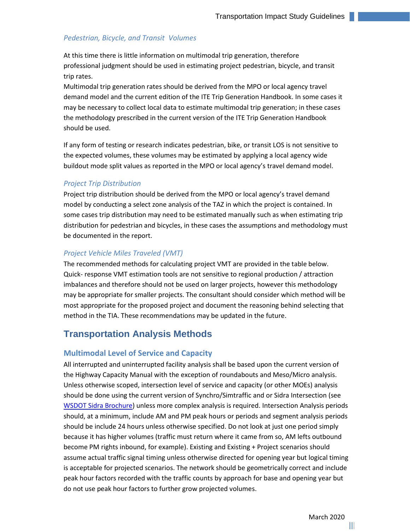#### *Pedestrian, Bicycle, and Transit Volumes*

At this time there is little information on multimodal trip generation, therefore professional judgment should be used in estimating project pedestrian, bicycle, and transit trip rates.

Multimodal trip generation rates should be derived from the MPO or local agency travel demand model and the current edition of the ITE Trip Generation Handbook. In some cases it may be necessary to collect local data to estimate multimodal trip generation; in these cases the methodology prescribed in the current version of the ITE Trip Generation Handbook should be used.

If any form of testing or research indicates pedestrian, bike, or transit LOS is not sensitive to the expected volumes, these volumes may be estimated by applying a local agency wide buildout mode split values as reported in the MPO or local agency's travel demand model.

#### *Project Trip Distribution*

Project trip distribution should be derived from the MPO or local agency's travel demand model by conducting a select zone analysis of the TAZ in which the project is contained. In some cases trip distribution may need to be estimated manually such as when estimating trip distribution for pedestrian and bicycles, in these cases the assumptions and methodology must be documented in the report.

#### *Project Vehicle Miles Traveled (VMT)*

The recommended methods for calculating project VMT are provided in the table below. Quick‐ response VMT estimation tools are not sensitive to regional production / attraction imbalances and therefore should not be used on larger projects, however this methodology may be appropriate for smaller projects. The consultant should consider which method will be most appropriate for the proposed project and document the reasoning behind selecting that method in the TIA. These recommendations may be updated in the future.

## <span id="page-8-0"></span>**Transportation Analysis Methods**

#### **Multimodal Level of Service and Capacity**

All interrupted and uninterrupted facility analysis shall be based upon the current version of the Highway Capacity Manual with the exception of roundabouts and Meso/Micro analysis. Unless otherwise scoped, intersection level of service and capacity (or other MOEs) analysis should be done using the current version of Synchro/Simtraffic and or Sidra Intersection (see [WSDOT Sidra Brochure\)](https://www.wsdot.wa.gov/NR/rdonlyres/0012E6B9-DC52-4B28-AE9C-5E4EACC98C0B/0/SidraPolicy.pdf) unless more complex analysis is required. Intersection Analysis periods should, at a minimum, include AM and PM peak hours or periods and segment analysis periods should be include 24 hours unless otherwise specified. Do not look at just one period simply because it has higher volumes (traffic must return where it came from so, AM lefts outbound become PM rights inbound, for example). Existing and Existing + Project scenarios should assume actual traffic signal timing unless otherwise directed for opening year but logical timing is acceptable for projected scenarios. The network should be geometrically correct and include peak hour factors recorded with the traffic counts by approach for base and opening year but do not use peak hour factors to further grow projected volumes.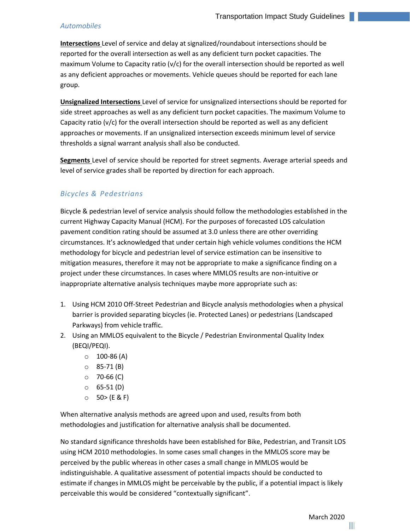#### *Automobiles*

**Intersections** Level of service and delay at signalized/roundabout intersections should be reported for the overall intersection as well as any deficient turn pocket capacities. The maximum Volume to Capacity ratio ( $v/c$ ) for the overall intersection should be reported as well as any deficient approaches or movements. Vehicle queues should be reported for each lane group.

**Unsignalized Intersections** Level of service for unsignalized intersections should be reported for side street approaches as well as any deficient turn pocket capacities. The maximum Volume to Capacity ratio ( $v/c$ ) for the overall intersection should be reported as well as any deficient approaches or movements. If an unsignalized intersection exceeds minimum level of service thresholds a signal warrant analysis shall also be conducted.

**Segments** Level of service should be reported for street segments. Average arterial speeds and level of service grades shall be reported by direction for each approach.

#### *Bicycles & Pedestrians*

Bicycle & pedestrian level of service analysis should follow the methodologies established in the current Highway Capacity Manual (HCM). For the purposes of forecasted LOS calculation pavement condition rating should be assumed at 3.0 unless there are other overriding circumstances. It's acknowledged that under certain high vehicle volumes conditions the HCM methodology for bicycle and pedestrian level of service estimation can be insensitive to mitigation measures, therefore it may not be appropriate to make a significance finding on a project under these circumstances. In cases where MMLOS results are non‐intuitive or inappropriate alternative analysis techniques maybe more appropriate such as:

- 1. Using HCM 2010 Off‐Street Pedestrian and Bicycle analysis methodologies when a physical barrier is provided separating bicycles (ie. Protected Lanes) or pedestrians (Landscaped Parkways) from vehicle traffic.
- 2. Using an MMLOS equivalent to the Bicycle / Pedestrian Environmental Quality Index (BEQI/PEQI).
	- $\circ$  100-86 (A)
	- o 85‐71 (B)
	- $\circ$  70-66 (C)
	- $0$  65-51 (D)
	- $O = 50$  (E & F)

When alternative analysis methods are agreed upon and used, results from both methodologies and justification for alternative analysis shall be documented.

No standard significance thresholds have been established for Bike, Pedestrian, and Transit LOS using HCM 2010 methodologies. In some cases small changes in the MMLOS score may be perceived by the public whereas in other cases a small change in MMLOS would be indistinguishable. A qualitative assessment of potential impacts should be conducted to estimate if changes in MMLOS might be perceivable by the public, if a potential impact is likely perceivable this would be considered "contextually significant".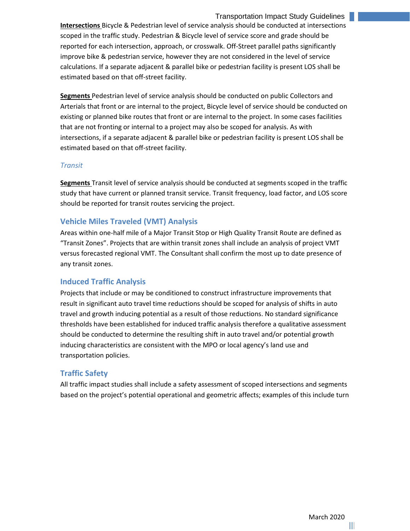#### Transportation Impact Study Guidelines 9

**Intersections** Bicycle & Pedestrian level of service analysis should be conducted at intersections scoped in the traffic study. Pedestrian & Bicycle level of service score and grade should be reported for each intersection, approach, or crosswalk. Off‐Street parallel paths significantly improve bike & pedestrian service, however they are not considered in the level of service calculations. If a separate adjacent & parallel bike or pedestrian facility is present LOS shall be estimated based on that off‐street facility.

**Segments** Pedestrian level of service analysis should be conducted on public Collectors and Arterials that front or are internal to the project, Bicycle level of service should be conducted on existing or planned bike routes that front or are internal to the project. In some cases facilities that are not fronting or internal to a project may also be scoped for analysis. As with intersections, if a separate adjacent & parallel bike or pedestrian facility is present LOS shall be estimated based on that off‐street facility.

#### *Transit*

**Segments** Transit level of service analysis should be conducted at segments scoped in the traffic study that have current or planned transit service. Transit frequency, load factor, and LOS score should be reported for transit routes servicing the project.

#### <span id="page-10-0"></span>**Vehicle Miles Traveled (VMT) Analysis**

Areas within one‐half mile of a Major Transit Stop or High Quality Transit Route are defined as "Transit Zones". Projects that are within transit zones shall include an analysis of project VMT versus forecasted regional VMT. The Consultant shall confirm the most up to date presence of any transit zones.

#### <span id="page-10-1"></span>**Induced Traffic Analysis**

Projects that include or may be conditioned to construct infrastructure improvements that result in significant auto travel time reductions should be scoped for analysis of shifts in auto travel and growth inducing potential as a result of those reductions. No standard significance thresholds have been established for induced traffic analysis therefore a qualitative assessment should be conducted to determine the resulting shift in auto travel and/or potential growth inducing characteristics are consistent with the MPO or local agency's land use and transportation policies.

#### **Traffic Safety**

All traffic impact studies shall include a safety assessment of scoped intersections and segments based on the project's potential operational and geometric affects; examples of this include turn